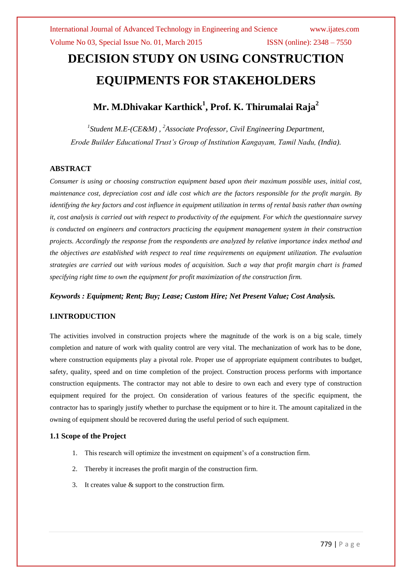# **DECISION STUDY ON USING CONSTRUCTION EQUIPMENTS FOR STAKEHOLDERS**

## **Mr. M.Dhivakar Karthick<sup>1</sup> , Prof. K. Thirumalai Raja<sup>2</sup>**

*1 Student M.E-(CE&M) , <sup>2</sup>Associate Professor, Civil Engineering Department, Erode Builder Educational Trust's Group of Institution Kangayam, Tamil Nadu, (India).*

#### **ABSTRACT**

*Consumer is using or choosing construction equipment based upon their maximum possible uses, initial cost, maintenance cost, depreciation cost and idle cost which are the factors responsible for the profit margin. By identifying the key factors and cost influence in equipment utilization in terms of rental basis rather than owning it, cost analysis is carried out with respect to productivity of the equipment. For which the questionnaire survey is conducted on engineers and contractors practicing the equipment management system in their construction projects. Accordingly the response from the respondents are analyzed by relative importance index method and the objectives are established with respect to real time requirements on equipment utilization. The evaluation strategies are carried out with various modes of acquisition. Such a way that profit margin chart is framed specifying right time to own the equipment for profit maximization of the construction firm.*

#### *Keywords : Equipment; Rent; Buy; Lease; Custom Hire; Net Present Value; Cost Analysis.*

### **I.INTRODUCTION**

The activities involved in construction projects where the magnitude of the work is on a big scale, timely completion and nature of work with quality control are very vital. The mechanization of work has to be done, where construction equipments play a pivotal role. Proper use of appropriate equipment contributes to budget, safety, quality, speed and on time completion of the project. Construction process performs with importance construction equipments. The contractor may not able to desire to own each and every type of construction equipment required for the project. On consideration of various features of the specific equipment, the contractor has to sparingly justify whether to purchase the equipment or to hire it. The amount capitalized in the owning of equipment should be recovered during the useful period of such equipment.

#### **1.1 Scope of the Project**

- 1. This research will optimize the investment on equipment's of a construction firm.
- 2. Thereby it increases the profit margin of the construction firm.
- 3. It creates value & support to the construction firm.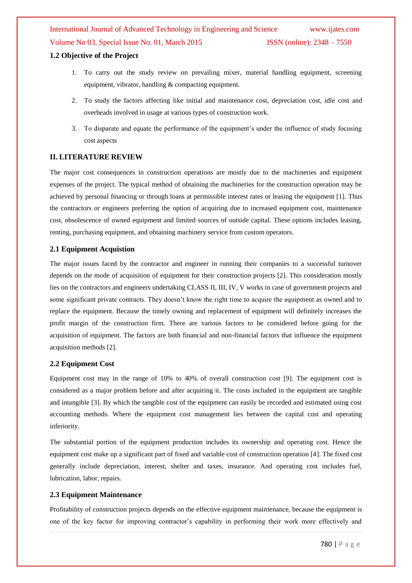#### **1.2 Objective of the Project**

- 1. To carry out the study review on prevailing mixer, material handling equipment, screening equipment, vibrator, handling & compacting equipment.
- 2. To study the factors affecting like initial and maintenance cost, depreciation cost, idle cost and overheads involved in usage at various types of construction work.
- 3. To disparate and equate the performance of the equipment's under the influence of study focusing cost aspects

#### **II. LITERATURE REVIEW**

The major cost consequences in construction operations are mostly due to the machineries and equipment expenses of the project. The typical method of obtaining the machineries for the construction operation may be achieved by personal financing or through loans at permissible interest rates or leasing the equipment [1]. Thus the contractors or engineers preferring the option of acquiring due to increased equipment cost, maintenance cost, obsolescence of owned equipment and limited sources of outside capital. These options includes leasing, renting, purchasing equipment, and obtaining machinery service from custom operators.

#### **2.1 Equipment Acquistion**

The major issues faced by the contractor and engineer in running their companies to a successful turnover depends on the mode of acquisition of equipment for their construction projects [2]. This consideration mostly lies on the contractors and engineers undertaking CLASS II, III, IV, V works in case of government projects and some significant private contracts. They doesn't know the right time to acquire the equipment as owned and to replace the equipment. Because the timely owning and replacement of equipment will definitely increases the profit margin of the construction firm. There are various factors to be considered before going for the acquisition of equipment. The factors are both financial and non-financial factors that influence the equipment acquisition methods [2].

#### **2.2 Equipment Cost**

Equipment cost may in the range of 10% to 40% of overall construction cost [9]. The equipment cost is considered as a major problem before and after acquiring it. The costs included in the equipment are tangible and intangible [3]. By which the tangible cost of the equipment can easily be recorded and estimated using cost accounting methods. Where the equipment cost management lies between the capital cost and operating inferiority.

The substantial portion of the equipment production includes its ownership and operating cost. Hence the equipment cost make up a significant part of fixed and variable cost of construction operation [4]. The fixed cost generally include depreciation, interest, shelter and taxes, insurance. And operating cost includes fuel, lubrication, labor, repairs.

#### **2.3 Equipment Maintenance**

Profitability of construction projects depends on the effective equipment maintenance, because the equipment is one of the key factor for improving contractor's capability in performing their work more effectively and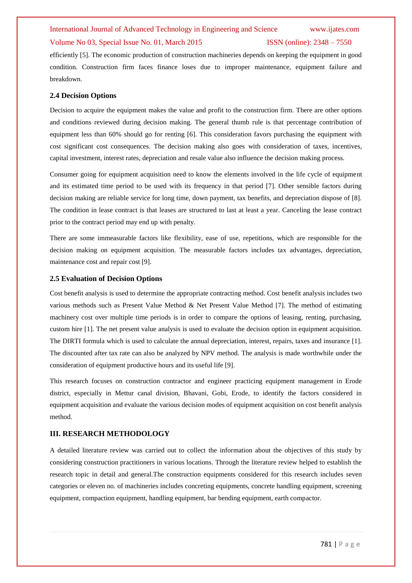#### Volume No 03, Special Issue No. 01, March 2015 ISSN (online): 2348 – 7550

efficiently [5]. The economic production of construction machineries depends on keeping the equipment in good condition. Construction firm faces finance loses due to improper maintenance, equipment failure and breakdown.

#### **2.4 Decision Options**

Decision to acquire the equipment makes the value and profit to the construction firm. There are other options and conditions reviewed during decision making. The general thumb rule is that percentage contribution of equipment less than 60% should go for renting [6]. This consideration favors purchasing the equipment with cost significant cost consequences. The decision making also goes with consideration of taxes, incentives, capital investment, interest rates, depreciation and resale value also influence the decision making process.

Consumer going for equipment acquisition need to know the elements involved in the life cycle of equipment and its estimated time period to be used with its frequency in that period [7]. Other sensible factors during decision making are reliable service for long time, down payment, tax benefits, and depreciation dispose of [8]. The condition in lease contract is that leases are structured to last at least a year. Canceling the lease contract prior to the contract period may end up with penalty.

There are some immeasurable factors like flexibility, ease of use, repetitions, which are responsible for the decision making on equipment acquisition. The measurable factors includes tax advantages, depreciation, maintenance cost and repair cost [9].

#### **2.5 Evaluation of Decision Options**

Cost benefit analysis is used to determine the appropriate contracting method. Cost benefit analysis includes two various methods such as Present Value Method & Net Present Value Method [7]. The method of estimating machinery cost over multiple time periods is in order to compare the options of leasing, renting, purchasing, custom hire [1]. The net present value analysis is used to evaluate the decision option in equipment acquisition. The DIRTI formula which is used to calculate the annual depreciation, interest, repairs, taxes and insurance [1]. The discounted after tax rate can also be analyzed by NPV method. The analysis is made worthwhile under the consideration of equipment productive hours and its useful life [9].

This research focuses on construction contractor and engineer practicing equipment management in Erode district, especially in Mettur canal division, Bhavani, Gobi, Erode, to identify the factors considered in equipment acquisition and evaluate the various decision modes of equipment acquisition on cost benefit analysis method.

#### **III. RESEARCH METHODOLOGY**

A detailed literature review was carried out to collect the information about the objectives of this study by considering construction practitioners in various locations. Through the literature review helped to establish the research topic in detail and general.The construction equipments considered for this research includes seven categories or eleven no. of machineries includes concreting equipments, concrete handling equipment, screening equipment, compaction equipment, handling equipment, bar bending equipment, earth compactor.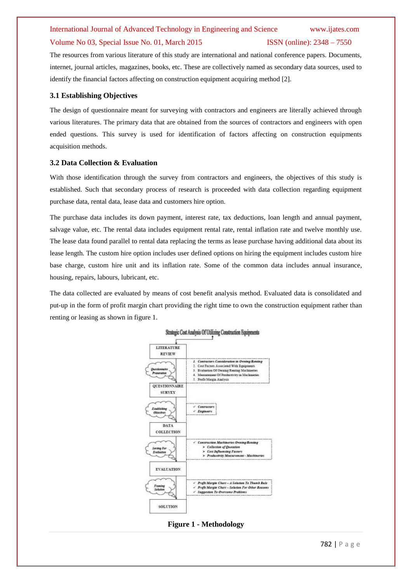#### Volume No 03, Special Issue No. 01, March 2015 **ISSN** (online): 2348 – 7550

The resources from various literature of this study are international and national conference papers. Documents, internet, journal articles, magazines, books, etc. These are collectively named as secondary data sources, used to identify the financial factors affecting on construction equipment acquiring method [2].

#### **3.1 Establishing Objectives**

The design of questionnaire meant for surveying with contractors and engineers are literally achieved through various literatures. The primary data that are obtained from the sources of contractors and engineers with open ended questions. This survey is used for identification of factors affecting on construction equipments acquisition methods.

#### **3.2 Data Collection & Evaluation**

With those identification through the survey from contractors and engineers, the objectives of this study is established. Such that secondary process of research is proceeded with data collection regarding equipment purchase data, rental data, lease data and customers hire option.

The purchase data includes its down payment, interest rate, tax deductions, loan length and annual payment, salvage value, etc. The rental data includes equipment rental rate, rental inflation rate and twelve monthly use. The lease data found parallel to rental data replacing the terms as lease purchase having additional data about its lease length. The custom hire option includes user defined options on hiring the equipment includes custom hire base charge, custom hire unit and its inflation rate. Some of the common data includes annual insurance, housing, repairs, labours, lubricant, etc.

The data collected are evaluated by means of cost benefit analysis method. Evaluated data is consolidated and put-up in the form of profit margin chart providing the right time to own the construction equipment rather than renting or leasing as shown in figure 1.



**Figure 1 - Methodology**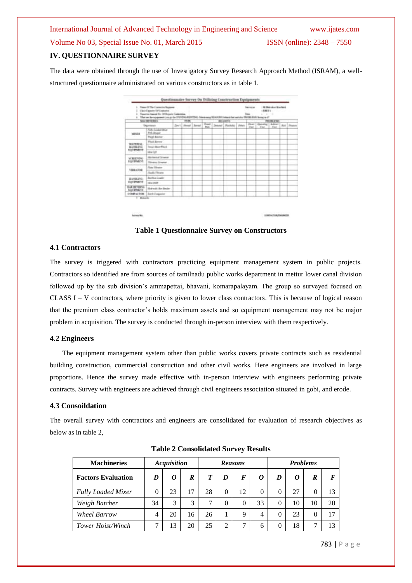### **IV. QUESTIONNAIRE SURVEY**

The data were obtained through the use of Investigatory Survey Research Approach Method (ISRAM), a wellstructured questionnaire administrated on various constructors as in table 1.

| u<br>٠                                         | Trace (217th Controlled Regione)<br>Clair/Dejacks DIV catanics<br>Transition Associate Disc Of Thispanic Contention<br>That we the repairment you go the OVED 65 RDTDFG. Meetining \$5,000 DT intensit that and also PROBED In Bossey as of |                  |  |                  |  |                              |                                      | lancos<br><b>Court</b> | 清理する<br><b>ACCAST</b> | <b>Militarian Kintera</b> |  |                   |
|------------------------------------------------|---------------------------------------------------------------------------------------------------------------------------------------------------------------------------------------------------------------------------------------------|------------------|--|------------------|--|------------------------------|--------------------------------------|------------------------|-----------------------|---------------------------|--|-------------------|
|                                                | MIX WITH HIS                                                                                                                                                                                                                                | T1PE             |  | <b>BE SIRFIE</b> |  |                              | PROBLEM:<br>Dear   (Decated   Admir- |                        |                       |                           |  |                   |
|                                                | <b>Tegerment</b>                                                                                                                                                                                                                            | David Sheed Band |  | ₩                |  | Detected (Plasmaker) (Metal) |                                      |                        | Date: 1  Class        | .Com                      |  | <b>Rob Trings</b> |
| WEGCA                                          | <b>Pulle Louisville Mark</b><br>Fri Joger                                                                                                                                                                                                   |                  |  |                  |  |                              |                                      |                        |                       |                           |  |                   |
|                                                | <b>Tript Series</b>                                                                                                                                                                                                                         |                  |  |                  |  |                              |                                      |                        |                       |                           |  |                   |
| <b>NUMBER</b><br><b>BARBEZHI</b><br>SUCREARIZE | Flad Rever                                                                                                                                                                                                                                  |                  |  |                  |  |                              |                                      |                        |                       |                           |  |                   |
|                                                | Towe Short Flock                                                                                                                                                                                                                            |                  |  |                  |  |                              |                                      |                        |                       |                           |  |                   |
|                                                | 104.08                                                                                                                                                                                                                                      | .                |  |                  |  |                              |                                      |                        |                       |                           |  |                   |
| <b>W.BEETING</b><br>ECONOMIST                  | <b>Highward Streets</b>                                                                                                                                                                                                                     |                  |  |                  |  |                              |                                      |                        |                       |                           |  |                   |
|                                                | <b>Filtegent Schwing</b>                                                                                                                                                                                                                    |                  |  |                  |  |                              |                                      |                        |                       |                           |  |                   |
| <b><i><u>VIIIILADEN</u></i></b>                | <b>Plane Pilemine</b>                                                                                                                                                                                                                       |                  |  |                  |  |                              |                                      |                        |                       |                           |  |                   |
|                                                | <b>Hardy Filmers</b>                                                                                                                                                                                                                        |                  |  |                  |  |                              |                                      |                        |                       |                           |  |                   |
| EUROPE.                                        | <b>Balling Loads</b>                                                                                                                                                                                                                        |                  |  |                  |  |                              |                                      |                        |                       |                           |  |                   |
| <b>EQUIPMENT</b>                               | 18x 2435                                                                                                                                                                                                                                    |                  |  |                  |  |                              |                                      |                        |                       |                           |  |                   |
| BAS BE YOU'VE<br><b><i>USA Brida FT</i></b>    | Holtmain for Benite                                                                                                                                                                                                                         |                  |  |                  |  |                              |                                      |                        |                       |                           |  |                   |
| <b>COMPACTOR</b>                               | <b>Bart Crajetor</b>                                                                                                                                                                                                                        |                  |  |                  |  |                              |                                      |                        |                       |                           |  |                   |

**Table 1 Questionnaire Survey on Constructors**

#### **4.1 Contractors**

The survey is triggered with contractors practicing equipment management system in public projects. Contractors so identified are from sources of tamilnadu public works department in mettur lower canal division followed up by the sub division's ammapettai, bhavani, komarapalayam. The group so surveyed focused on CLASS I – V contractors, where priority is given to lower class contractors. This is because of logical reason that the premium class contractor's holds maximum assets and so equipment management may not be major problem in acquisition. The survey is conducted through in-person interview with them respectively.

#### **4.2 Engineers**

The equipment management system other than public works covers private contracts such as residential building construction, commercial construction and other civil works. Here engineers are involved in large proportions. Hence the survey made effective with in-person interview with engineers performing private contracts. Survey with engineers are achieved through civil engineers association situated in gobi, and erode.

#### **4.3 Consoildation**

The overall survey with contractors and engineers are consolidated for evaluation of research objectives as below as in table 2,

| <b>Machineries</b>        |    | <b>Acquisition</b> |    |    |   | <b>Reasons</b> |    |          | <b>Problems</b> |    |          |
|---------------------------|----|--------------------|----|----|---|----------------|----|----------|-----------------|----|----------|
| <b>Factors Evaluation</b> | D  | 0                  | R  | T  | D | F              | 0  | D        | 0               | R  | $\bm{F}$ |
| <b>Fully Loaded Mixer</b> |    | 23                 | 17 | 28 | 0 | 12             | 0  | $\Omega$ | 27              |    | 13       |
| Weigh Batcher             | 34 | 3                  | 3  | 7  | 0 | $\theta$       | 33 | $\theta$ | 10              | 10 | 20       |
| <b>Wheel Barrow</b>       | 4  | 20                 | 16 | 26 |   | 9              | 4  | 0        | 23              |    | 17       |
| Tower Hoist/Winch         |    | 13                 | 20 | 25 | 2 | ¬              | h  | $\theta$ | 18              |    | 13       |

**Table 2 Consolidated Survey Results**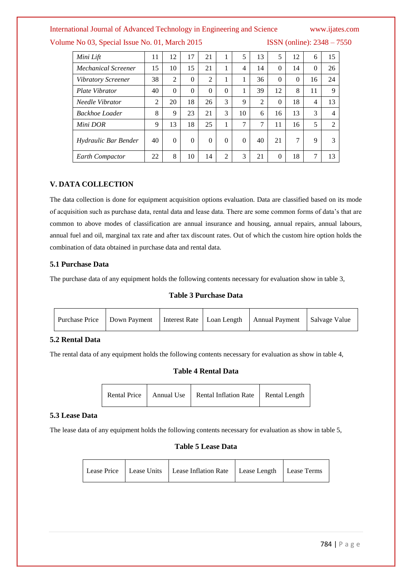Volume No 03, Special Issue No. 01, March 2015 ISSN (online): 2348 – 7550

| Mini Lift                 | 11             | 12             | 17       | 21             | 1        | 5        | 13             | 5        | 12       | 6        | 15                       |
|---------------------------|----------------|----------------|----------|----------------|----------|----------|----------------|----------|----------|----------|--------------------------|
| Mechanical Screener       | 15             | 10             | 15       | 21             | 1        | 4        | 14             | $\theta$ | 14       | $\theta$ | 26                       |
| <b>Vibratory Screener</b> | 38             | $\overline{2}$ | $\theta$ | $\overline{2}$ | 1        | 1        | 36             | $\Omega$ | $\Omega$ | 16       | 24                       |
| Plate Vibrator            | 40             | $\theta$       | $\theta$ | $\theta$       | $\theta$ | 1        | 39             | 12       | 8        | 11       | 9                        |
| Needle Vibrator           | $\mathfrak{D}$ | 20             | 18       | 26             | 3        | 9        | $\overline{2}$ | $\theta$ | 18       | 4        | 13                       |
| Backhoe Loader            | 8              | 9              | 23       | 21             | 3        | 10       | 6              | 16       | 13       | 3        | $\overline{\mathcal{A}}$ |
| Mini DOR                  | 9              | 13             | 18       | 25             | 1        | 7        | 7              | 11       | 16       | 5        | $\overline{2}$           |
| Hydraulic Bar Bender      | 40             | $\theta$       | $\theta$ | $\theta$       | $\Omega$ | $\theta$ | 40             | 21       | 7        | 9        | 3                        |
| Earth Compactor           | 22             | 8              | 10       | 14             | 2        | 3        | 21             | $\Omega$ | 18       | 7        | 13                       |

#### **V. DATA COLLECTION**

The data collection is done for equipment acquisition options evaluation. Data are classified based on its mode of acquisition such as purchase data, rental data and lease data. There are some common forms of data's that are common to above modes of classification are annual insurance and housing, annual repairs, annual labours, annual fuel and oil, marginal tax rate and after tax discount rates. Out of which the custom hire option holds the combination of data obtained in purchase data and rental data.

#### **5.1 Purchase Data**

The purchase data of any equipment holds the following contents necessary for evaluation show in table 3,

#### **Table 3 Purchase Data**

| Purchase Price   Down Payment |  | Interest Rate   Loan Length   Annual Payment | Salvage Value |
|-------------------------------|--|----------------------------------------------|---------------|
|-------------------------------|--|----------------------------------------------|---------------|

### **5.2 Rental Data**

The rental data of any equipment holds the following contents necessary for evaluation as show in table 4,

### **Table 4 Rental Data**

| Rental Price   Annual Use   Rental Inflation Rate   Rental Length |
|-------------------------------------------------------------------|
|-------------------------------------------------------------------|

#### **5.3 Lease Data**

The lease data of any equipment holds the following contents necessary for evaluation as show in table 5,

#### **Table 5 Lease Data**

|  | Lease Price   Lease Units   Lease Inflation Rate   Lease Length   Lease Terms |  |
|--|-------------------------------------------------------------------------------|--|
|  |                                                                               |  |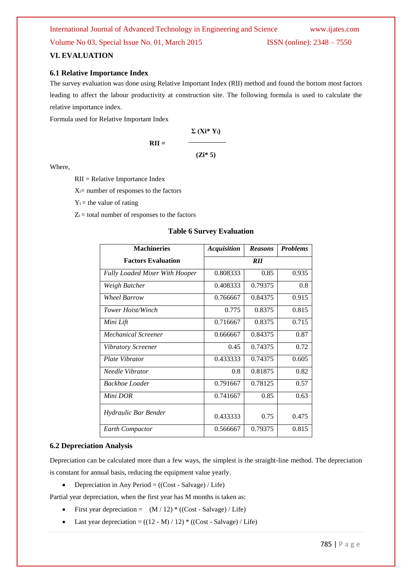#### **VI. EVALUATION**

### **6.1 Relative Importance Index**

The survey evaluation was done using Relative Important Index (RII) method and found the bottom most factors leading to affect the labour productivity at construction site. The following formula is used to calculate the relative importance index.

Formula used for Relative Important Index

$$
RII = \frac{\sum (Xi^* Y_i)}{(Zi^* 5)}
$$

Where,

RII = Relative Importance Index

 $X_i$ = number of responses to the factors

 $Y_i$  = the value of rating

 $Z_i$  = total number of responses to the factors

#### **Table 6 Survey Evaluation**

| <b>Machineries</b>                    | <b>Acquisition</b> | <b>Reasons</b> | <b>Problems</b> |
|---------------------------------------|--------------------|----------------|-----------------|
| <b>Factors Evaluation</b>             |                    | <b>RII</b>     |                 |
| <b>Fully Loaded Mixer With Hooper</b> | 0.808333           | 0.85           | 0.935           |
| Weigh Batcher                         | 0.408333           | 0.79375        | 0.8             |
| Wheel Barrow                          | 0.766667           | 0.84375        | 0.915           |
| Tower Hoist/Winch                     | 0.775              | 0.8375         | 0.815           |
| Mini Lift                             | 0.716667           | 0.8375         | 0.715           |
| Mechanical Screener                   | 0.666667           | 0.84375        | 0.87            |
| Vibratory Screener                    | 0.45               | 0.74375        | 0.72            |
| Plate Vibrator                        | 0.433333           | 0.74375        | 0.605           |
| Needle Vibrator                       | 0.8                | 0.81875        | 0.82            |
| Backhoe Loader                        | 0.791667           | 0.78125        | 0.57            |
| Mini DOR                              | 0.741667           | 0.85           | 0.63            |
| Hydraulic Bar Bender                  | 0.433333           | 0.75           | 0.475           |
| <b>Earth Compactor</b>                | 0.566667           | 0.79375        | 0.815           |

#### **6.2 Depreciation Analysis**

[Depreciation](http://en.wikipedia.org/wiki/Depreciation) can be calculated more than a few ways, the simplest is the straight-line method. The depreciation is constant for annual basis, reducing the equipment value yearly.

• Depreciation in Any Period  $= ((\text{Cost - Salvage}) / \text{Life})$ 

Partial year depreciation, when the first year has M months is taken as:

- First year depreciation =  $(M / 12) * ((Cost Salvage) / Life)$
- Last year depreciation =  $((12 M) / 12)$  \*  $((Cost Salvage) / Life)$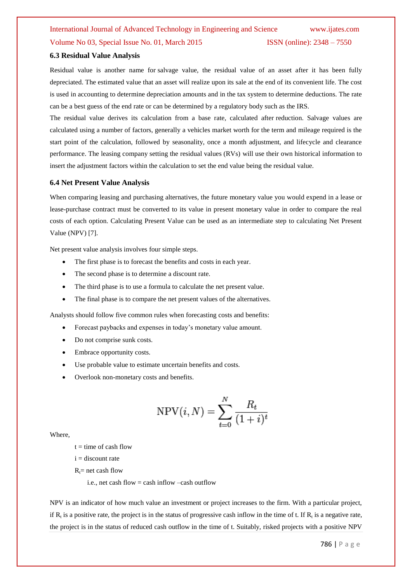#### **6.3 Residual Value Analysis**

Residual value is another name for [salvage value,](http://en.wikipedia.org/wiki/Salvage_value) the residual value of an asset after it has been fully depreciated. The estimated value that an asset will realize upon its sale at the end of its convenient life. The cost is used in accounting to determine depreciation amounts and in the tax system to determine deductions. The rate can be a best guess of the end rate or can be determined by a regulatory body such as the IRS.

The residual value derives its calculation from a base rate, calculated after reduction. Salvage values are calculated using a number of factors, generally a vehicles market worth for the term and mileage required is the start point of the calculation, followed by seasonality, once a month adjustment, and lifecycle and clearance performance. The leasing company setting the residual values (RVs) will use their own historical information to insert the adjustment factors within the calculation to set the end value being the residual value.

#### **6.4 Net Present Value Analysis**

When comparing leasing and purchasing alternatives, the future monetary value you would expend in a lease or lease-purchase contract must be converted to its value in present monetary value in order to compare the real costs of each option. Calculating Present Value can be used as an intermediate step to calculating Net Present Value (NPV) [7].

Net present value analysis involves four simple steps.

- The first phase is to forecast the benefits and costs in each year.
- The second phase is to determine a discount rate.
- The third phase is to use a formula to calculate the net present value.
- The final phase is to compare the net present values of the alternatives.

Analysts should follow five common rules when forecasting costs and benefits:

- Forecast paybacks and expenses in today's monetary value amount.
- Do not comprise sunk costs.
- Embrace opportunity costs.
- Use probable value to estimate uncertain benefits and costs.
- Overlook non-monetary costs and benefits.

$$
NPV(i, N) = \sum_{t=0}^{N} \frac{R_t}{(1+i)^t}
$$

Where,

 $t =$  time of cash flow

 $i =$  discount rate

 $R_t$ = net cash flow

i.e., net cash flow = cash inflow  $-\text{cash}$  outflow

NPV is an indicator of how much value an investment or project increases to the firm. With a particular project, if  $R_t$  is a positive rate, the project is in the status of progressive cash inflow in the time of t. If  $R_t$  is a negative rate, the project is in the status of reduced cash outflow in the time of t. Suitably, risked projects with a positive NPV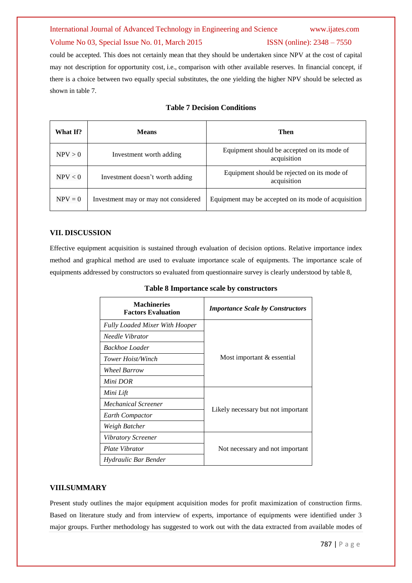#### Volume No 03, Special Issue No. 01, March 2015 ISSN (online): 2348 – 7550

could be accepted. This does not certainly mean that they should be undertaken since NPV at the cost of capital may not description for [opportunity cost,](http://en.wikipedia.org/wiki/Opportunity_cost) i.e., comparison with other available reserves. In financial concept, if there is a choice between two equally special substitutes, the one yielding the higher NPV should be selected as shown in table 7.

| What If?  | <b>Means</b>                         | Then                                                       |
|-----------|--------------------------------------|------------------------------------------------------------|
| NPV > 0   | Investment worth adding              | Equipment should be accepted on its mode of<br>acquisition |
| NPV < 0   | Investment doesn't worth adding      | Equipment should be rejected on its mode of<br>acquisition |
| $NPV = 0$ | Investment may or may not considered | Equipment may be accepted on its mode of acquisition       |

#### **Table 7 Decision Conditions**

#### **VII. DISCUSSION**

Effective equipment acquisition is sustained through evaluation of decision options. Relative importance index method and graphical method are used to evaluate importance scale of equipments. The importance scale of equipments addressed by constructors so evaluated from questionnaire survey is clearly understood by table 8,

| <b>Machineries</b><br><b>Factors Evaluation</b> | <b>Importance Scale by Constructors</b> |  |  |  |  |
|-------------------------------------------------|-----------------------------------------|--|--|--|--|
| <b>Fully Loaded Mixer With Hooper</b>           |                                         |  |  |  |  |
| Needle Vibrator                                 |                                         |  |  |  |  |
| Backhoe Loader                                  |                                         |  |  |  |  |
| Tower Hoist/Winch                               | Most important & essential              |  |  |  |  |
| <b>Wheel Barrow</b>                             |                                         |  |  |  |  |
| Mini DOR                                        |                                         |  |  |  |  |
| Mini Lift                                       |                                         |  |  |  |  |
| Mechanical Screener                             |                                         |  |  |  |  |
| <b>Earth Compactor</b>                          | Likely necessary but not important      |  |  |  |  |
| Weigh Batcher                                   |                                         |  |  |  |  |
| Vibratory Screener                              |                                         |  |  |  |  |
| Plate Vibrator                                  | Not necessary and not important         |  |  |  |  |
| Hydraulic Bar Bender                            |                                         |  |  |  |  |

### **Table 8 Importance scale by constructors**

#### **VIII.SUMMARY**

Present study outlines the major equipment acquisition modes for profit maximization of construction firms. Based on literature study and from interview of experts, importance of equipments were identified under 3 major groups. Further methodology has suggested to work out with the data extracted from available modes of